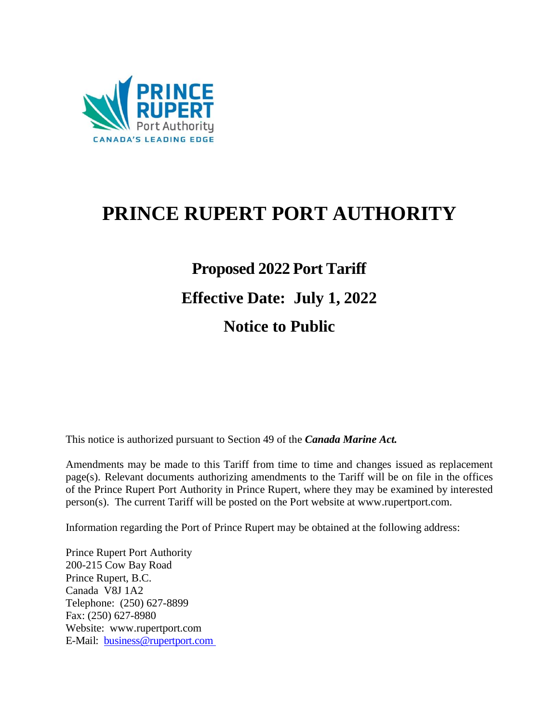

## **PRINCE RUPERT PORT AUTHORITY**

# **Proposed 2022 Port Tariff Effective Date: July 1, 2022 Notice to Public**

This notice is authorized pursuant to Section 49 of the *Canada Marine Act.*

Amendments may be made to this Tariff from time to time and changes issued as replacement page(s). Relevant documents authorizing amendments to the Tariff will be on file in the offices of the Prince Rupert Port Authority in Prince Rupert, where they may be examined by interested person(s). The current Tariff will be posted on the Port website [at www.rupertport.com.](http://www.rupertport.com/)

Information regarding the Port of Prince Rupert may be obtained at the following address:

Prince Rupert Port Authority 200-215 Cow Bay Road Prince Rupert, B.C. Canada V8J 1A2 Telephone: (250) 627-8899 Fax: (250) 627-8980 Website: [www.rupertport.com](http://www.rupertport.com/) E-Mail: [business@rupertport.com](mailto:business@rupertport.com)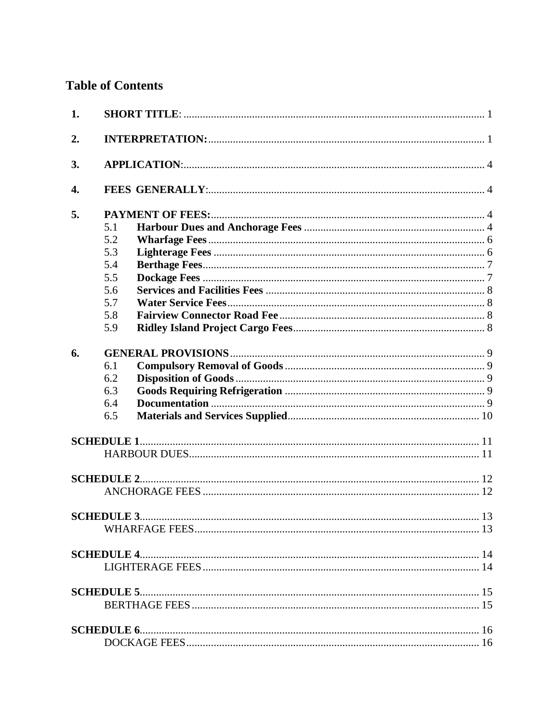## **Table of Contents**

| 1. |     |  |
|----|-----|--|
| 2. |     |  |
| 3. |     |  |
| 4. |     |  |
| 5. |     |  |
|    | 5.1 |  |
|    | 5.2 |  |
|    | 5.3 |  |
|    | 5.4 |  |
|    | 5.5 |  |
|    | 5.6 |  |
|    | 5.7 |  |
|    | 5.8 |  |
|    | 5.9 |  |
| 6. |     |  |
|    | 6.1 |  |
|    | 6.2 |  |
|    | 6.3 |  |
|    | 6.4 |  |
|    | 6.5 |  |
|    |     |  |
|    |     |  |
|    |     |  |
|    |     |  |
|    |     |  |
|    |     |  |
|    |     |  |
|    |     |  |
|    |     |  |
|    |     |  |
|    |     |  |
|    |     |  |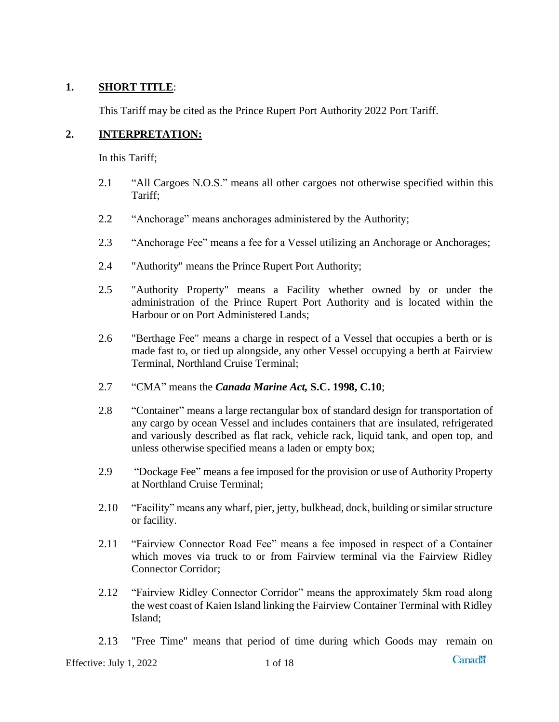#### <span id="page-3-0"></span>**1. SHORT TITLE**:

This Tariff may be cited as the Prince Rupert Port Authority 2022 Port Tariff.

#### <span id="page-3-1"></span>**2. INTERPRETATION:**

In this Tariff;

- 2.1 "All Cargoes N.O.S." means all other cargoes not otherwise specified within this Tariff;
- 2.2 "Anchorage" means anchorages administered by the Authority;
- 2.3 "Anchorage Fee" means a fee for a Vessel utilizing an Anchorage or Anchorages;
- 2.4 "Authority" means the Prince Rupert Port Authority;
- 2.5 "Authority Property" means a Facility whether owned by or under the administration of the Prince Rupert Port Authority and is located within the Harbour or on Port Administered Lands;
- 2.6 "Berthage Fee" means a charge in respect of a Vessel that occupies a berth or is made fast to, or tied up alongside, any other Vessel occupying a berth at Fairview Terminal, Northland Cruise Terminal;
- 2.7 "CMA" means the *Canada Marine Act,* **S.C. 1998, C.10**;
- 2.8 "Container" means a large rectangular box of standard design for transportation of any cargo by ocean Vessel and includes containers that are insulated, refrigerated and variously described as flat rack, vehicle rack, liquid tank, and open top, and unless otherwise specified means a laden or empty box;
- 2.9 "Dockage Fee" means a fee imposed for the provision or use of Authority Property at Northland Cruise Terminal;
- 2.10 "Facility" means any wharf, pier, jetty, bulkhead, dock, building or similar structure or facility.
- 2.11 "Fairview Connector Road Fee" means a fee imposed in respect of a Container which moves via truck to or from Fairview terminal via the Fairview Ridley Connector Corridor;
- 2.12 "Fairview Ridley Connector Corridor" means the approximately 5km road along the west coast of Kaien Island linking the Fairview Container Terminal with Ridley Island;
- 2.13 "Free Time" means that period of time during which Goods may remain on

**Canadä**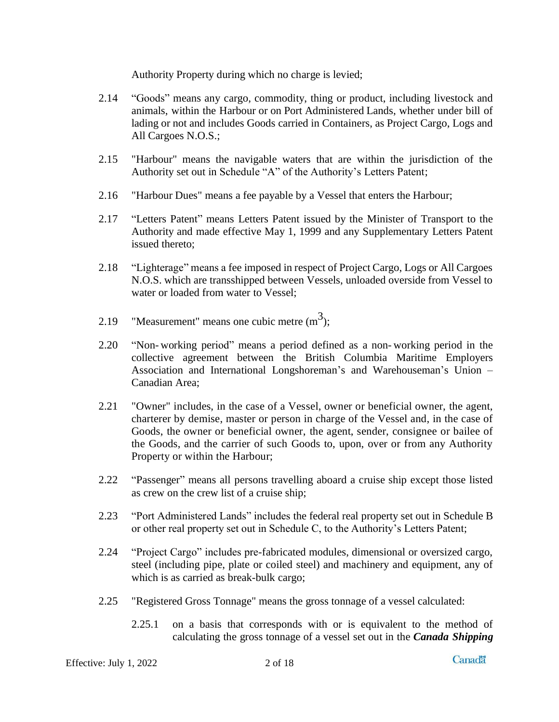Authority Property during which no charge is levied;

- 2.14 "Goods" means any cargo, commodity, thing or product, including livestock and animals, within the Harbour or on Port Administered Lands, whether under bill of lading or not and includes Goods carried in Containers, as Project Cargo, Logs and All Cargoes N.O.S.;
- 2.15 "Harbour" means the navigable waters that are within the jurisdiction of the Authority set out in Schedule "A" of the Authority's Letters Patent;
- 2.16 "Harbour Dues" means a fee payable by a Vessel that enters the Harbour;
- 2.17 "Letters Patent" means Letters Patent issued by the Minister of Transport to the Authority and made effective May 1, 1999 and any Supplementary Letters Patent issued thereto;
- 2.18 "Lighterage" means a fee imposed in respect of Project Cargo, Logs or All Cargoes N.O.S. which are transshipped between Vessels, unloaded overside from Vessel to water or loaded from water to Vessel;
- 2.19 "Measurement" means one cubic metre  $(m^3)$ ;
- 2.20 "Non- working period" means a period defined as a non- working period in the collective agreement between the British Columbia Maritime Employers Association and International Longshoreman's and Warehouseman's Union – Canadian Area;
- 2.21 "Owner" includes, in the case of a Vessel, owner or beneficial owner, the agent, charterer by demise, master or person in charge of the Vessel and, in the case of Goods, the owner or beneficial owner, the agent, sender, consignee or bailee of the Goods, and the carrier of such Goods to, upon, over or from any Authority Property or within the Harbour;
- 2.22 "Passenger" means all persons travelling aboard a cruise ship except those listed as crew on the crew list of a cruise ship;
- 2.23 "Port Administered Lands" includes the federal real property set out in Schedule B or other real property set out in Schedule C, to the Authority's Letters Patent;
- 2.24 "Project Cargo" includes pre-fabricated modules, dimensional or oversized cargo, steel (including pipe, plate or coiled steel) and machinery and equipment, any of which is as carried as break-bulk cargo;
- 2.25 "Registered Gross Tonnage" means the gross tonnage of a vessel calculated:
	- 2.25.1 on a basis that corresponds with or is equivalent to the method of calculating the gross tonnage of a vessel set out in the *Canada Shipping*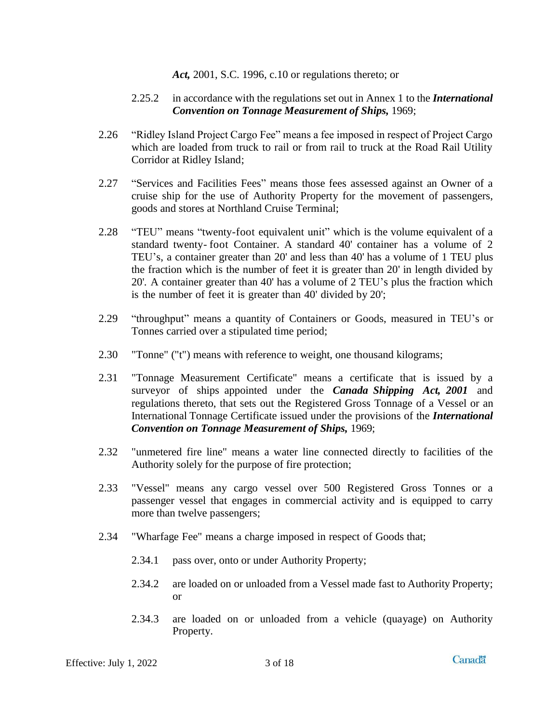*Act,* 2001, S.C. 1996, c.10 or regulations thereto; or

#### 2.25.2 in accordance with the regulations set out in Annex 1 to the *International Convention on Tonnage Measurement of Ships,* 1969;

- 2.26 "Ridley Island Project Cargo Fee" means a fee imposed in respect of Project Cargo which are loaded from truck to rail or from rail to truck at the Road Rail Utility Corridor at Ridley Island;
- 2.27 "Services and Facilities Fees" means those fees assessed against an Owner of a cruise ship for the use of Authority Property for the movement of passengers, goods and stores at Northland Cruise Terminal;
- 2.28 "TEU" means "twenty-foot equivalent unit" which is the volume equivalent of a standard twenty- foot Container. A standard 40' container has a volume of 2 TEU's, a container greater than 20' and less than 40' has a volume of 1 TEU plus the fraction which is the number of feet it is greater than 20' in length divided by 20'. A container greater than 40' has a volume of 2 TEU's plus the fraction which is the number of feet it is greater than 40' divided by 20';
- 2.29 "throughput" means a quantity of Containers or Goods, measured in TEU's or Tonnes carried over a stipulated time period;
- 2.30 "Tonne" ("t") means with reference to weight, one thousand kilograms;
- 2.31 "Tonnage Measurement Certificate" means a certificate that is issued by a surveyor of ships appointed under the *Canada Shipping Act, 2001* and regulations thereto, that sets out the Registered Gross Tonnage of a Vessel or an International Tonnage Certificate issued under the provisions of the *International Convention on Tonnage Measurement of Ships,* 1969;
- 2.32 "unmetered fire line" means a water line connected directly to facilities of the Authority solely for the purpose of fire protection;
- 2.33 "Vessel" means any cargo vessel over 500 Registered Gross Tonnes or a passenger vessel that engages in commercial activity and is equipped to carry more than twelve passengers;
- 2.34 "Wharfage Fee" means a charge imposed in respect of Goods that;
	- 2.34.1 pass over, onto or under Authority Property;
	- 2.34.2 are loaded on or unloaded from a Vessel made fast to Authority Property; or
	- 2.34.3 are loaded on or unloaded from a vehicle (quayage) on Authority Property.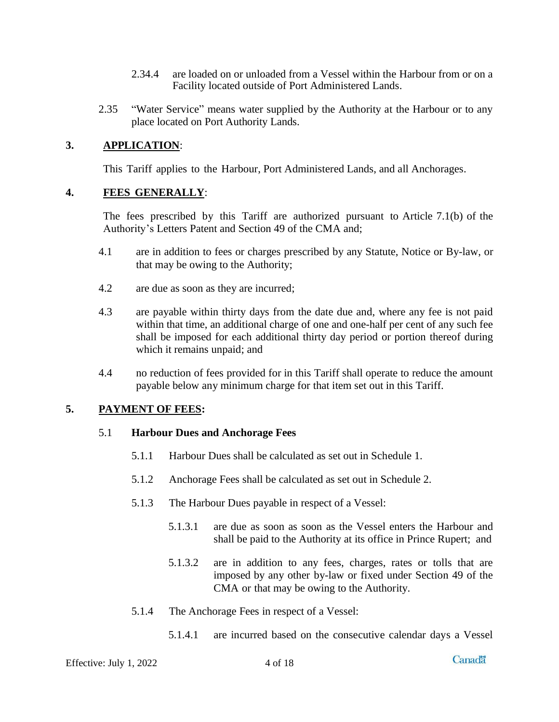- 2.34.4 are loaded on or unloaded from a Vessel within the Harbour from or on a Facility located outside of Port Administered Lands.
- 2.35 "Water Service" means water supplied by the Authority at the Harbour or to any place located on Port Authority Lands.

#### <span id="page-6-0"></span>**3. APPLICATION**:

This Tariff applies to the Harbour, Port Administered Lands, and all Anchorages.

#### <span id="page-6-1"></span>**4. FEES GENERALLY**:

The fees prescribed by this Tariff are authorized pursuant to Article 7.1(b) of the Authority's Letters Patent and Section 49 of the CMA and;

- 4.1 are in addition to fees or charges prescribed by any Statute, Notice or By-law, or that may be owing to the Authority;
- 4.2 are due as soon as they are incurred;
- 4.3 are payable within thirty days from the date due and, where any fee is not paid within that time, an additional charge of one and one-half per cent of any such fee shall be imposed for each additional thirty day period or portion thereof during which it remains unpaid; and
- 4.4 no reduction of fees provided for in this Tariff shall operate to reduce the amount payable below any minimum charge for that item set out in this Tariff.

#### <span id="page-6-3"></span><span id="page-6-2"></span>**5. PAYMENT OF FEES:**

#### 5.1 **Harbour Dues and Anchorage Fees**

- 5.1.1 Harbour Dues shall be calculated as set out in Schedule 1.
- 5.1.2 Anchorage Fees shall be calculated as set out in Schedule 2.
- 5.1.3 The Harbour Dues payable in respect of a Vessel:
	- 5.1.3.1 are due as soon as soon as the Vessel enters the Harbour and shall be paid to the Authority at its office in Prince Rupert; and
	- 5.1.3.2 are in addition to any fees, charges, rates or tolls that are imposed by any other by-law or fixed under Section 49 of the CMA or that may be owing to the Authority.
- 5.1.4 The Anchorage Fees in respect of a Vessel:
	- 5.1.4.1 are incurred based on the consecutive calendar days a Vessel

Effective: July  $1, 2022$  4 of 18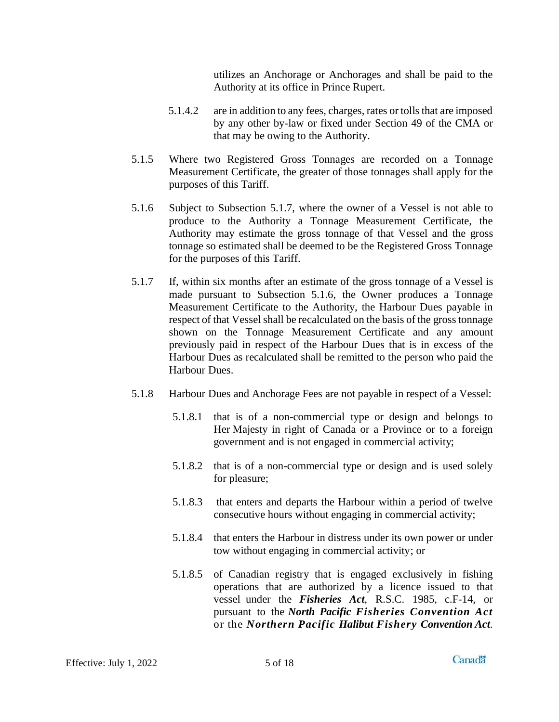utilizes an Anchorage or Anchorages and shall be paid to the Authority at its office in Prince Rupert.

- 5.1.4.2 are in addition to any fees, charges, rates or tolls that are imposed by any other by-law or fixed under Section 49 of the CMA or that may be owing to the Authority.
- 5.1.5 Where two Registered Gross Tonnages are recorded on a Tonnage Measurement Certificate, the greater of those tonnages shall apply for the purposes of this Tariff.
- 5.1.6 Subject to Subsection 5.1.7, where the owner of a Vessel is not able to produce to the Authority a Tonnage Measurement Certificate, the Authority may estimate the gross tonnage of that Vessel and the gross tonnage so estimated shall be deemed to be the Registered Gross Tonnage for the purposes of this Tariff.
- 5.1.7 If, within six months after an estimate of the gross tonnage of a Vessel is made pursuant to Subsection 5.1.6, the Owner produces a Tonnage Measurement Certificate to the Authority, the Harbour Dues payable in respect of that Vessel shall be recalculated on the basis of the gross tonnage shown on the Tonnage Measurement Certificate and any amount previously paid in respect of the Harbour Dues that is in excess of the Harbour Dues as recalculated shall be remitted to the person who paid the Harbour Dues.
- 5.1.8 Harbour Dues and Anchorage Fees are not payable in respect of a Vessel:
	- 5.1.8.1 that is of a non-commercial type or design and belongs to Her Majesty in right of Canada or a Province or to a foreign government and is not engaged in commercial activity;
	- 5.1.8.2 that is of a non-commercial type or design and is used solely for pleasure;
	- 5.1.8.3 that enters and departs the Harbour within a period of twelve consecutive hours without engaging in commercial activity;
	- 5.1.8.4 that enters the Harbour in distress under its own power or under tow without engaging in commercial activity; or
	- 5.1.8.5 of Canadian registry that is engaged exclusively in fishing operations that are authorized by a licence issued to that vessel under the *Fisheries Act*, R.S.C. 1985, c.F-14, or pursuant to the *North Pacific Fisheries Convention Act* or the *Northern Pacific Halibut Fishery Convention Act*.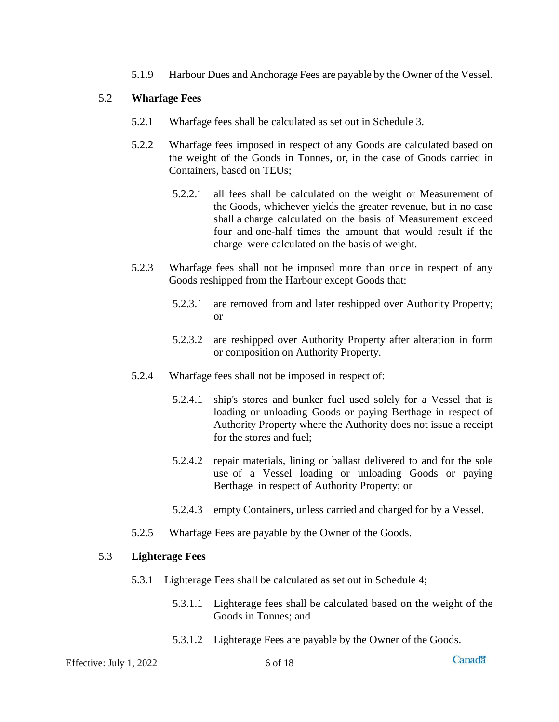5.1.9 Harbour Dues and Anchorage Fees are payable by the Owner of the Vessel.

#### <span id="page-8-0"></span>5.2 **Wharfage Fees**

- 5.2.1 Wharfage fees shall be calculated as set out in Schedule 3.
- 5.2.2 Wharfage fees imposed in respect of any Goods are calculated based on the weight of the Goods in Tonnes, or, in the case of Goods carried in Containers, based on TEUs;
	- 5.2.2.1 all fees shall be calculated on the weight or Measurement of the Goods, whichever yields the greater revenue, but in no case shall a charge calculated on the basis of Measurement exceed four and one-half times the amount that would result if the charge were calculated on the basis of weight.
- 5.2.3 Wharfage fees shall not be imposed more than once in respect of any Goods reshipped from the Harbour except Goods that:
	- 5.2.3.1 are removed from and later reshipped over Authority Property; or
	- 5.2.3.2 are reshipped over Authority Property after alteration in form or composition on Authority Property.
- 5.2.4 Wharfage fees shall not be imposed in respect of:
	- 5.2.4.1 ship's stores and bunker fuel used solely for a Vessel that is loading or unloading Goods or paying Berthage in respect of Authority Property where the Authority does not issue a receipt for the stores and fuel;
	- 5.2.4.2 repair materials, lining or ballast delivered to and for the sole use of a Vessel loading or unloading Goods or paying Berthage in respect of Authority Property; or
	- 5.2.4.3 empty Containers, unless carried and charged for by a Vessel.
- 5.2.5 Wharfage Fees are payable by the Owner of the Goods.

#### <span id="page-8-1"></span>5.3 **Lighterage Fees**

- 5.3.1 Lighterage Fees shall be calculated as set out in Schedule 4;
	- 5.3.1.1 Lighterage fees shall be calculated based on the weight of the Goods in Tonnes; and
	- 5.3.1.2 Lighterage Fees are payable by the Owner of the Goods.

Effective: July 1, 2022 6 of 18

**Canadä**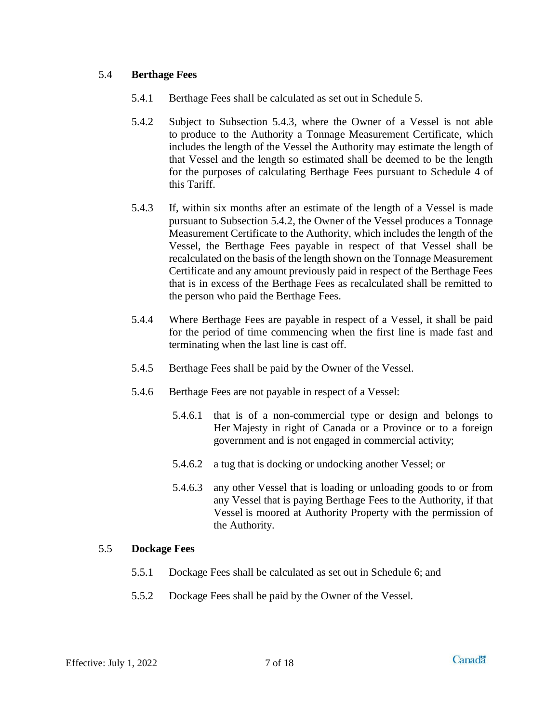#### <span id="page-9-0"></span>5.4 **Berthage Fees**

- 5.4.1 Berthage Fees shall be calculated as set out in Schedule 5.
- 5.4.2 Subject to Subsection 5.4.3, where the Owner of a Vessel is not able to produce to the Authority a Tonnage Measurement Certificate, which includes the length of the Vessel the Authority may estimate the length of that Vessel and the length so estimated shall be deemed to be the length for the purposes of calculating Berthage Fees pursuant to Schedule 4 of this Tariff.
- 5.4.3 If, within six months after an estimate of the length of a Vessel is made pursuant to Subsection 5.4.2, the Owner of the Vessel produces a Tonnage Measurement Certificate to the Authority, which includes the length of the Vessel, the Berthage Fees payable in respect of that Vessel shall be recalculated on the basis of the length shown on the Tonnage Measurement Certificate and any amount previously paid in respect of the Berthage Fees that is in excess of the Berthage Fees as recalculated shall be remitted to the person who paid the Berthage Fees.
- 5.4.4 Where Berthage Fees are payable in respect of a Vessel, it shall be paid for the period of time commencing when the first line is made fast and terminating when the last line is cast off.
- 5.4.5 Berthage Fees shall be paid by the Owner of the Vessel.
- 5.4.6 Berthage Fees are not payable in respect of a Vessel:
	- 5.4.6.1 that is of a non-commercial type or design and belongs to Her Majesty in right of Canada or a Province or to a foreign government and is not engaged in commercial activity;
	- 5.4.6.2 a tug that is docking or undocking another Vessel; or
	- 5.4.6.3 any other Vessel that is loading or unloading goods to or from any Vessel that is paying Berthage Fees to the Authority, if that Vessel is moored at Authority Property with the permission of the Authority.

#### <span id="page-9-1"></span>5.5 **Dockage Fees**

- 5.5.1 Dockage Fees shall be calculated as set out in Schedule 6; and
- 5.5.2 Dockage Fees shall be paid by the Owner of the Vessel.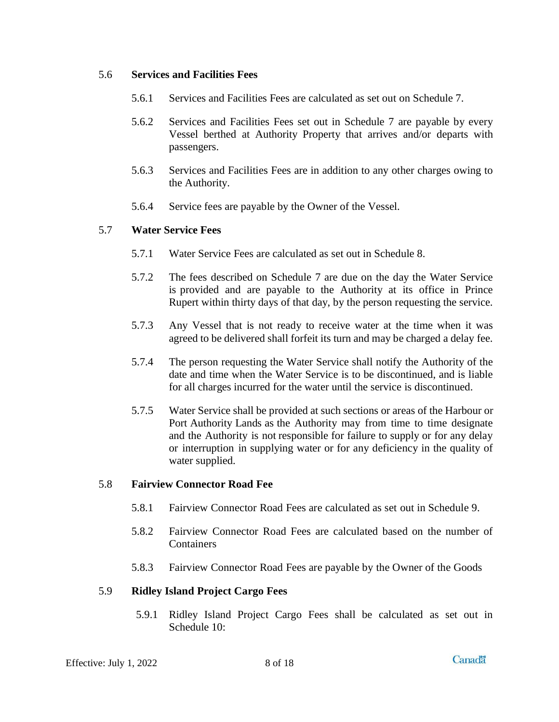#### <span id="page-10-0"></span>5.6 **Services and Facilities Fees**

- 5.6.1 Services and Facilities Fees are calculated as set out on Schedule 7.
- 5.6.2 Services and Facilities Fees set out in Schedule 7 are payable by every Vessel berthed at Authority Property that arrives and/or departs with passengers.
- 5.6.3 Services and Facilities Fees are in addition to any other charges owing to the Authority.
- 5.6.4 Service fees are payable by the Owner of the Vessel.

#### <span id="page-10-1"></span>5.7 **Water Service Fees**

- 5.7.1 Water Service Fees are calculated as set out in Schedule 8.
- 5.7.2 The fees described on Schedule 7 are due on the day the Water Service is provided and are payable to the Authority at its office in Prince Rupert within thirty days of that day, by the person requesting the service.
- 5.7.3 Any Vessel that is not ready to receive water at the time when it was agreed to be delivered shall forfeit its turn and may be charged a delay fee.
- 5.7.4 The person requesting the Water Service shall notify the Authority of the date and time when the Water Service is to be discontinued, and is liable for all charges incurred for the water until the service is discontinued.
- 5.7.5 Water Service shall be provided at such sections or areas of the Harbour or Port Authority Lands as the Authority may from time to time designate and the Authority is not responsible for failure to supply or for any delay or interruption in supplying water or for any deficiency in the quality of water supplied.

#### <span id="page-10-2"></span>5.8 **Fairview Connector Road Fee**

- 5.8.1 Fairview Connector Road Fees are calculated as set out in Schedule 9.
- 5.8.2 Fairview Connector Road Fees are calculated based on the number of Containers
- 5.8.3 Fairview Connector Road Fees are payable by the Owner of the Goods

#### <span id="page-10-3"></span>5.9 **Ridley Island Project Cargo Fees**

5.9.1 Ridley Island Project Cargo Fees shall be calculated as set out in Schedule 10: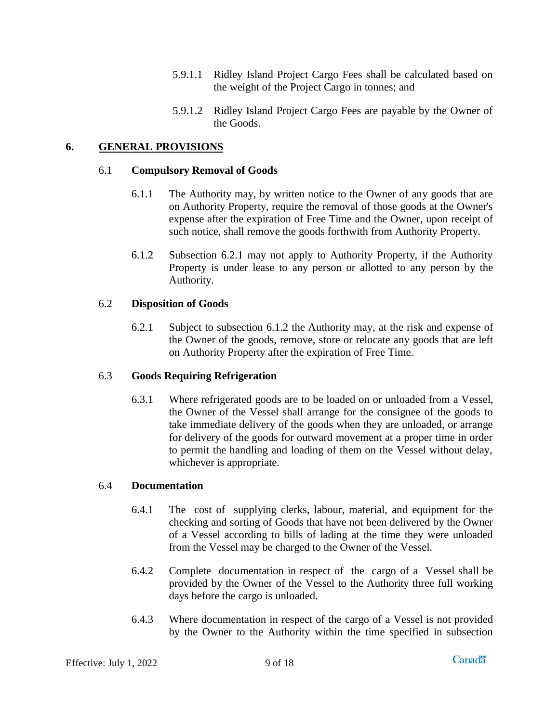- 5.9.1.1 Ridley Island Project Cargo Fees shall be calculated based on the weight of the Project Cargo in tonnes; and
- 5.9.1.2 Ridley Island Project Cargo Fees are payable by the Owner of the Goods.

#### <span id="page-11-1"></span><span id="page-11-0"></span>**6. GENERAL PROVISIONS**

#### 6.1 **Compulsory Removal of Goods**

- 6.1.1 The Authority may, by written notice to the Owner of any goods that are on Authority Property, require the removal of those goods at the Owner's expense after the expiration of Free Time and the Owner, upon receipt of such notice, shall remove the goods forthwith from Authority Property.
- 6.1.2 Subsection 6.2.1 may not apply to Authority Property, if the Authority Property is under lease to any person or allotted to any person by the Authority.

#### <span id="page-11-2"></span>6.2 **Disposition of Goods**

6.2.1 Subject to subsection 6.1.2 the Authority may, at the risk and expense of the Owner of the goods, remove, store or relocate any goods that are left on Authority Property after the expiration of Free Time.

#### <span id="page-11-3"></span>6.3 **Goods Requiring Refrigeration**

6.3.1 Where refrigerated goods are to be loaded on or unloaded from a Vessel, the Owner of the Vessel shall arrange for the consignee of the goods to take immediate delivery of the goods when they are unloaded, or arrange for delivery of the goods for outward movement at a proper time in order to permit the handling and loading of them on the Vessel without delay, whichever is appropriate.

#### <span id="page-11-4"></span>6.4 **Documentation**

- 6.4.1 The cost of supplying clerks, labour, material, and equipment for the checking and sorting of Goods that have not been delivered by the Owner of a Vessel according to bills of lading at the time they were unloaded from the Vessel may be charged to the Owner of the Vessel.
- 6.4.2 Complete documentation in respect of the cargo of a Vessel shall be provided by the Owner of the Vessel to the Authority three full working days before the cargo is unloaded.
- 6.4.3 Where documentation in respect of the cargo of a Vessel is not provided by the Owner to the Authority within the time specified in subsection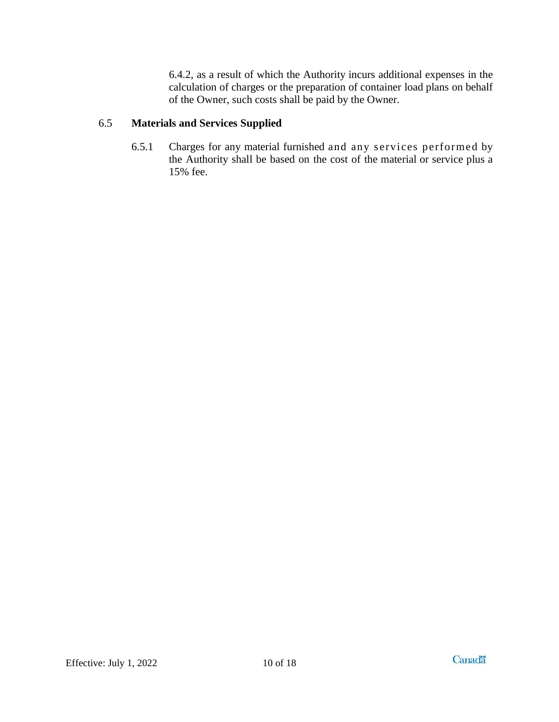6.4.2, as a result of which the Authority incurs additional expenses in the calculation of charges or the preparation of container load plans on behalf of the Owner, such costs shall be paid by the Owner.

#### <span id="page-12-0"></span>6.5 **Materials and Services Supplied**

6.5.1 Charges for any material furnished and any s ervices performed by the Authority shall be based on the cost of the material or service plus a 15% fee.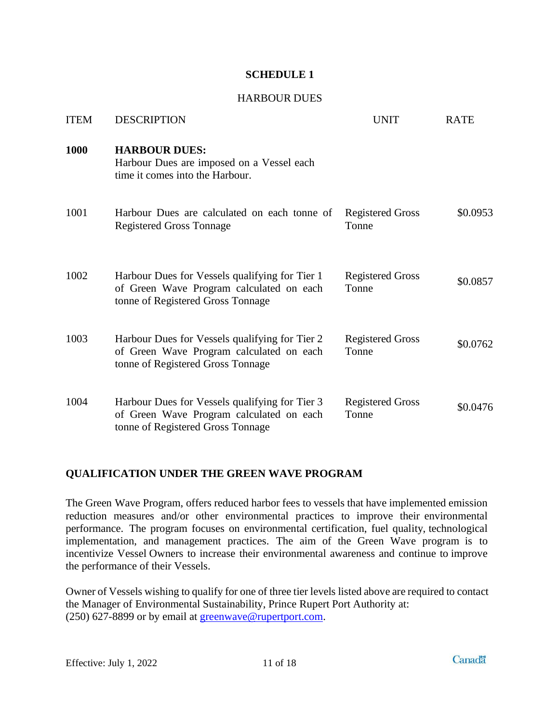#### HARBOUR DUES

<span id="page-13-1"></span><span id="page-13-0"></span>

| <b>ITEM</b> | <b>DESCRIPTION</b>                                                                                                              | <b>UNIT</b>                      | <b>RATE</b> |
|-------------|---------------------------------------------------------------------------------------------------------------------------------|----------------------------------|-------------|
| 1000        | <b>HARBOUR DUES:</b><br>Harbour Dues are imposed on a Vessel each<br>time it comes into the Harbour.                            |                                  |             |
| 1001        | Harbour Dues are calculated on each tonne of<br><b>Registered Gross Tonnage</b>                                                 | <b>Registered Gross</b><br>Tonne | \$0.0953    |
| 1002        | Harbour Dues for Vessels qualifying for Tier 1<br>of Green Wave Program calculated on each<br>tonne of Registered Gross Tonnage | <b>Registered Gross</b><br>Tonne | \$0.0857    |
| 1003        | Harbour Dues for Vessels qualifying for Tier 2<br>of Green Wave Program calculated on each<br>tonne of Registered Gross Tonnage | <b>Registered Gross</b><br>Tonne | \$0.0762    |
| 1004        | Harbour Dues for Vessels qualifying for Tier 3<br>of Green Wave Program calculated on each<br>tonne of Registered Gross Tonnage | <b>Registered Gross</b><br>Tonne | \$0.0476    |

#### **QUALIFICATION UNDER THE GREEN WAVE PROGRAM**

The Green Wave Program, offers reduced harbor fees to vessels that have implemented emission reduction measures and/or other environmental practices to improve their environmental performance. The program focuses on environmental certification, fuel quality, technological implementation, and management practices. The aim of the Green Wave program is to incentivize Vessel Owners to increase their environmental awareness and continue to improve the performance of their Vessels.

Owner of Vessels wishing to qualify for one of three tier levels listed above are required to contact the Manager of Environmental Sustainability, Prince Rupert Port Authority at: (250) 627-8899 or by email at [greenwave@rupertport.com.](mailto:greenwave@rupertport.com)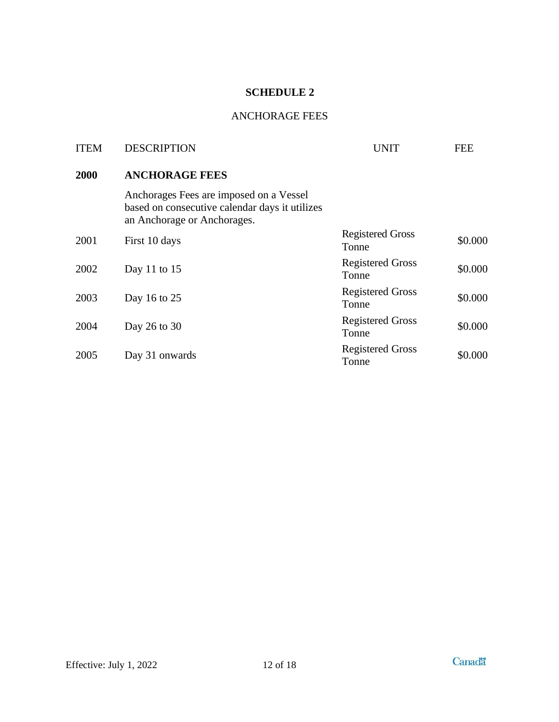## ANCHORAGE FEES

<span id="page-14-1"></span><span id="page-14-0"></span>

| <b>ITEM</b> | <b>DESCRIPTION</b>                                                                                                       | UNIT                             | <b>FEE</b> |
|-------------|--------------------------------------------------------------------------------------------------------------------------|----------------------------------|------------|
| 2000        | <b>ANCHORAGE FEES</b>                                                                                                    |                                  |            |
|             | Anchorages Fees are imposed on a Vessel<br>based on consecutive calendar days it utilizes<br>an Anchorage or Anchorages. |                                  |            |
| 2001        | First 10 days                                                                                                            | <b>Registered Gross</b><br>Tonne | \$0.000    |
| 2002        | Day 11 to $15$                                                                                                           | <b>Registered Gross</b><br>Tonne | \$0.000    |
| 2003        | Day 16 to 25                                                                                                             | <b>Registered Gross</b><br>Tonne | \$0.000    |
| 2004        | Day 26 to 30                                                                                                             | <b>Registered Gross</b><br>Tonne | \$0.000    |
| 2005        | Day 31 onwards                                                                                                           | <b>Registered Gross</b><br>Tonne | \$0.000    |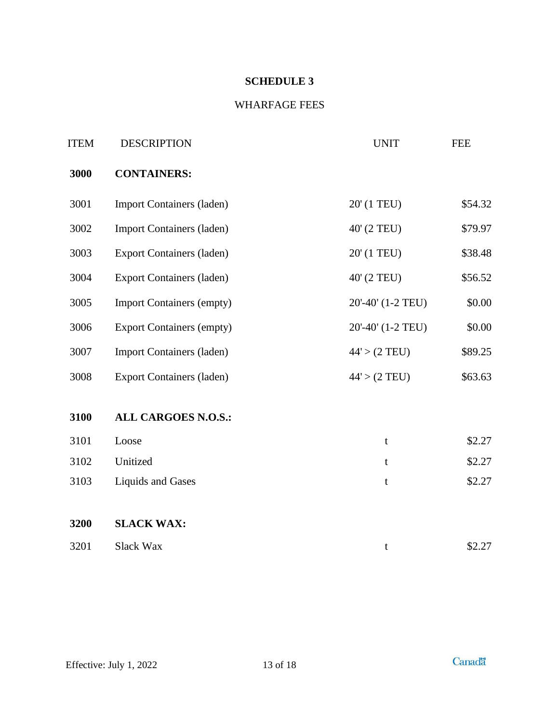## WHARFAGE FEES

<span id="page-15-1"></span><span id="page-15-0"></span>

| <b>ITEM</b> | <b>DESCRIPTION</b>               | <b>UNIT</b>             | <b>FEE</b> |
|-------------|----------------------------------|-------------------------|------------|
| 3000        | <b>CONTAINERS:</b>               |                         |            |
| 3001        | <b>Import Containers (laden)</b> | 20' (1 TEU)             | \$54.32    |
| 3002        | <b>Import Containers (laden)</b> | 40' (2 TEU)             | \$79.97    |
| 3003        | <b>Export Containers (laden)</b> | 20' (1 TEU)             | \$38.48    |
| 3004        | <b>Export Containers (laden)</b> | 40' (2 TEU)             | \$56.52    |
| 3005        | <b>Import Containers (empty)</b> | 20'-40' (1-2 TEU)       | \$0.00     |
| 3006        | <b>Export Containers (empty)</b> | 20'-40' (1-2 TEU)       | \$0.00     |
| 3007        | <b>Import Containers (laden)</b> | 44' > (2 TEU)           | \$89.25    |
| 3008        | <b>Export Containers (laden)</b> | $44' > (2 \text{ TEU})$ | \$63.63    |
| 3100        | <b>ALL CARGOES N.O.S.:</b>       |                         |            |
| 3101        | Loose                            | t                       | \$2.27     |
| 3102        | Unitized                         | t                       | \$2.27     |
| 3103        | <b>Liquids and Gases</b>         | t                       | \$2.27     |
| 3200        | <b>SLACK WAX:</b>                |                         |            |
| 3201        | Slack Wax                        | t                       | \$2.27     |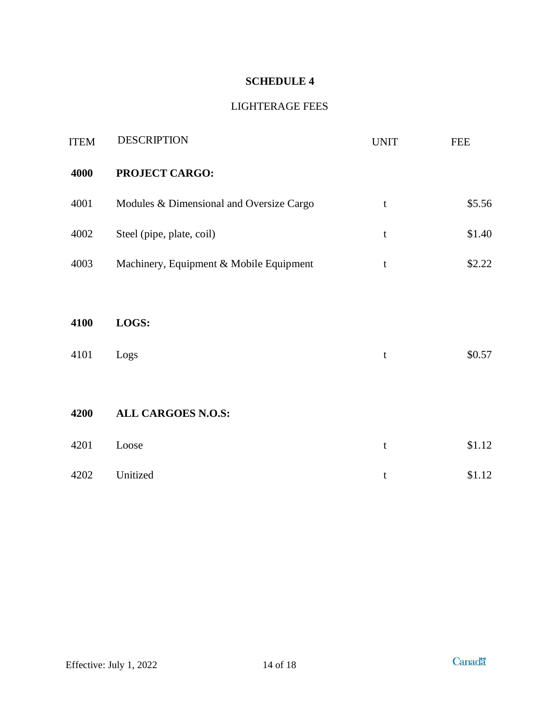## LIGHTERAGE FEES

<span id="page-16-1"></span><span id="page-16-0"></span>

| <b>ITEM</b> | <b>DESCRIPTION</b>                       | <b>UNIT</b> | <b>FEE</b> |
|-------------|------------------------------------------|-------------|------------|
| 4000        | <b>PROJECT CARGO:</b>                    |             |            |
| 4001        | Modules & Dimensional and Oversize Cargo | t           | \$5.56     |
| 4002        | Steel (pipe, plate, coil)                | $\mathbf t$ | \$1.40     |
| 4003        | Machinery, Equipment & Mobile Equipment  | t           | \$2.22     |
|             |                                          |             |            |
| 4100        | LOGS:                                    |             |            |
| 4101        | Logs                                     | t           | \$0.57     |
|             |                                          |             |            |
| 4200        | <b>ALL CARGOES N.O.S:</b>                |             |            |
| 4201        | Loose                                    | $\mathbf t$ | \$1.12     |
| 4202        | Unitized                                 | t           | \$1.12     |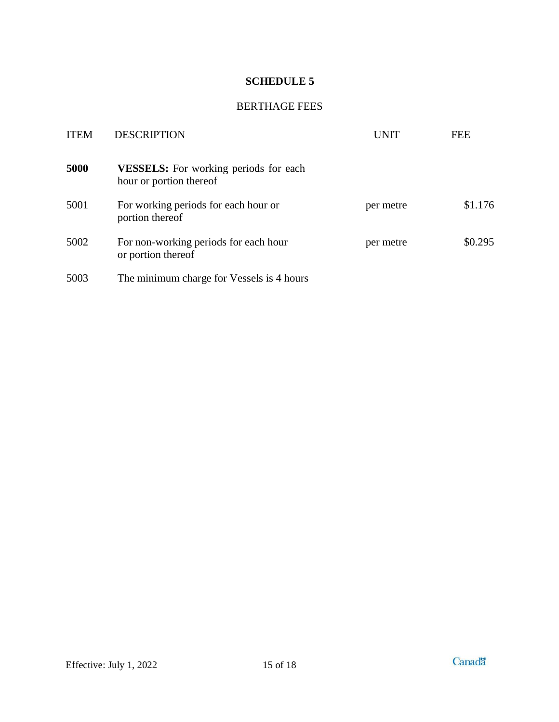#### BERTHAGE FEES

<span id="page-17-1"></span><span id="page-17-0"></span>

| <b>ITEM</b> | <b>DESCRIPTION</b>                                                      | UNIT      | FEE     |
|-------------|-------------------------------------------------------------------------|-----------|---------|
| 5000        | <b>VESSELS:</b> For working periods for each<br>hour or portion thereof |           |         |
| 5001        | For working periods for each hour or<br>portion thereof                 | per metre | \$1.176 |
| 5002        | For non-working periods for each hour<br>or portion thereof             | per metre | \$0.295 |
| 5003        | The minimum charge for Vessels is 4 hours                               |           |         |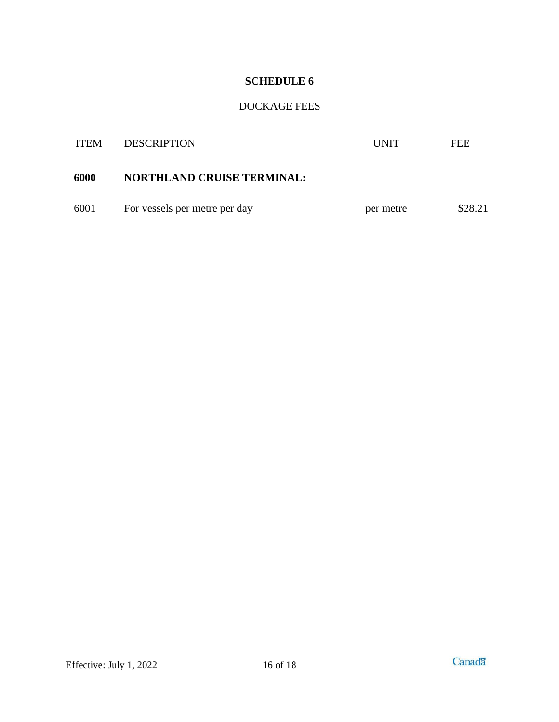## DOCKAGE FEES

<span id="page-18-1"></span><span id="page-18-0"></span>

| <b>ITEM</b> | <b>DESCRIPTION</b>                | <b>UNIT</b> | FEE     |
|-------------|-----------------------------------|-------------|---------|
| 6000        | <b>NORTHLAND CRUISE TERMINAL:</b> |             |         |
| 6001        | For vessels per metre per day     | per metre   | \$28.21 |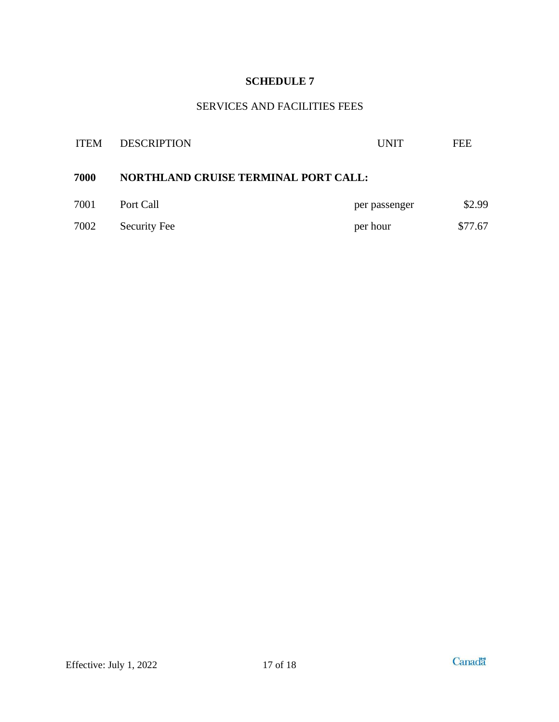## SERVICES AND FACILITIES FEES

<span id="page-19-1"></span><span id="page-19-0"></span>

| <b>DESCRIPTION</b>  | <b>UNIT</b>   | <b>FEE</b>                                  |
|---------------------|---------------|---------------------------------------------|
|                     |               |                                             |
| Port Call           | per passenger | \$2.99                                      |
| <b>Security Fee</b> | per hour      | \$77.67                                     |
|                     |               | <b>NORTHLAND CRUISE TERMINAL PORT CALL:</b> |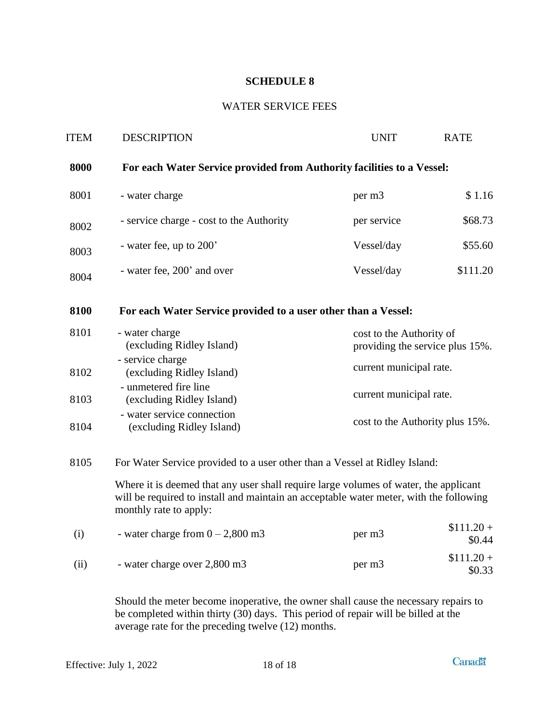### WATER SERVICE FEES

<span id="page-20-1"></span><span id="page-20-0"></span>

| <b>ITEM</b> | <b>DESCRIPTION</b>                                                                                                                                                                                       | <b>UNIT</b>                                                 | <b>RATE</b>                     |  |
|-------------|----------------------------------------------------------------------------------------------------------------------------------------------------------------------------------------------------------|-------------------------------------------------------------|---------------------------------|--|
| 8000        | For each Water Service provided from Authority facilities to a Vessel:                                                                                                                                   |                                                             |                                 |  |
| 8001        | - water charge                                                                                                                                                                                           | per m3                                                      | \$1.16                          |  |
| 8002        | - service charge - cost to the Authority                                                                                                                                                                 | per service                                                 | \$68.73                         |  |
| 8003        | - water fee, up to 200'                                                                                                                                                                                  | Vessel/day                                                  | \$55.60                         |  |
| 8004        | - water fee, 200' and over                                                                                                                                                                               | Vessel/day                                                  | \$111.20                        |  |
| 8100        | For each Water Service provided to a user other than a Vessel:                                                                                                                                           |                                                             |                                 |  |
| 8101        | - water charge<br>(excluding Ridley Island)                                                                                                                                                              | cost to the Authority of<br>providing the service plus 15%. |                                 |  |
| 8102        | - service charge<br>(excluding Ridley Island)                                                                                                                                                            |                                                             | current municipal rate.         |  |
| 8103        | - unmetered fire line<br>(excluding Ridley Island)                                                                                                                                                       | current municipal rate.                                     |                                 |  |
| 8104        | - water service connection<br>(excluding Ridley Island)                                                                                                                                                  |                                                             | cost to the Authority plus 15%. |  |
| 8105        | For Water Service provided to a user other than a Vessel at Ridley Island:                                                                                                                               |                                                             |                                 |  |
|             | Where it is deemed that any user shall require large volumes of water, the applicant<br>will be required to install and maintain an acceptable water meter, with the following<br>monthly rate to apply: |                                                             |                                 |  |
| (i)         | - water charge from $0 - 2,800$ m3                                                                                                                                                                       | per m3                                                      | $$111.20+$<br>\$0.44            |  |
| (ii)        | - water charge over 2,800 m3                                                                                                                                                                             | per m3                                                      | $$111.20 +$<br>\$0.33           |  |
|             |                                                                                                                                                                                                          |                                                             |                                 |  |

Should the meter become inoperative, the owner shall cause the necessary repairs to be completed within thirty (30) days. This period of repair will be billed at the average rate for the preceding twelve (12) months.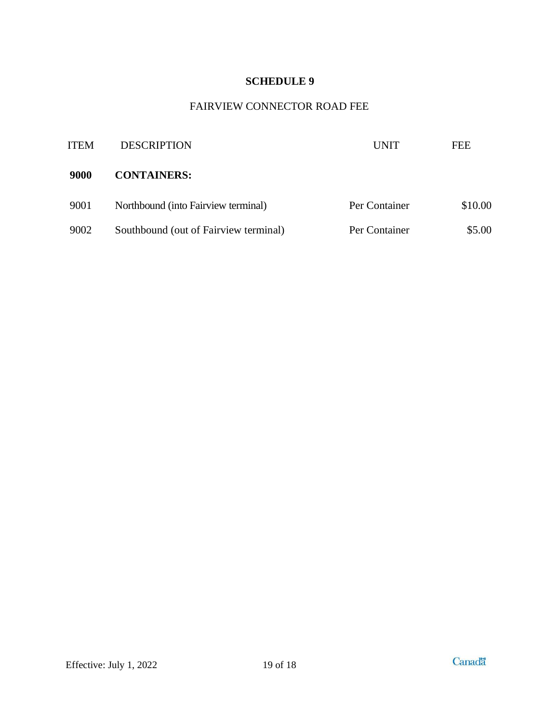## FAIRVIEW CONNECTOR ROAD FEE

<span id="page-21-1"></span><span id="page-21-0"></span>

| <b>ITEM</b> | <b>DESCRIPTION</b>                    | UNIT          | FEE     |
|-------------|---------------------------------------|---------------|---------|
| 9000        | <b>CONTAINERS:</b>                    |               |         |
| 9001        | Northbound (into Fairview terminal)   | Per Container | \$10.00 |
| 9002        | Southbound (out of Fairview terminal) | Per Container | \$5.00  |